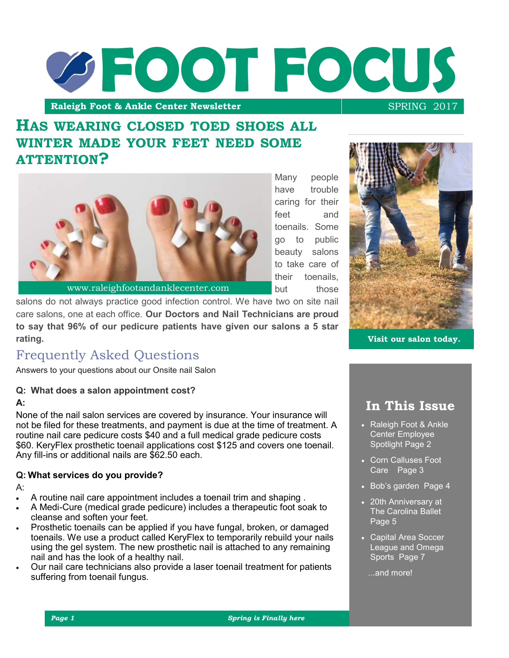

# **HAS WEARING CLOSED TOED SHOES ALL WINTER MADE YOUR FEET NEED SOME ATTENTION?**



Many people have trouble caring for their feet and toenails. Some go to public beauty salons to take care of their toenails but those



**Visit our salon today.**

## care salons, one at each office. **Our Doctors and Nail Technicians are proud to say that 96% of our pedicure patients have given our salons a 5 star rating.**

# Frequently Asked Questions

Answers to your questions about our Onsite nail Salon

#### **Q: What does a salon appointment cost?**

#### **A:**

None of the nail salon services are covered by insurance. Your insurance will not be filed for these treatments, and payment is due at the time of treatment. A routine nail care pedicure costs \$40 and a full medical grade pedicure costs \$60. KeryFlex prosthetic toenail applications cost \$125 and covers one toenail. Any fill-ins or additional nails are \$62.50 each.

salons do not always practice good infection control. We have two on site nail

## **Q: What services do you provide?**

A:

- A routine nail care appointment includes a toenail trim and shaping .
- A Medi-Cure (medical grade pedicure) includes a therapeutic foot soak to cleanse and soften your feet.
- Prosthetic toenails can be applied if you have fungal, broken, or damaged toenails. We use a product called KeryFlex to temporarily rebuild your nails using the gel system. The new prosthetic nail is attached to any remaining nail and has the look of a healthy nail.
- Our nail care technicians also provide a laser toenail treatment for patients suffering from toenail fungus.

**In This Issue**

- Raleigh Foot & Ankle Center Employee Spotlight Page 2
- Corn Calluses Foot Care Page 3
- Bob's garden Page 4
- 20th Anniversary at The Carolina Ballet  $P$ age  $5$
- Capital Area Soccer League and Omega Sports Page 7

...and more!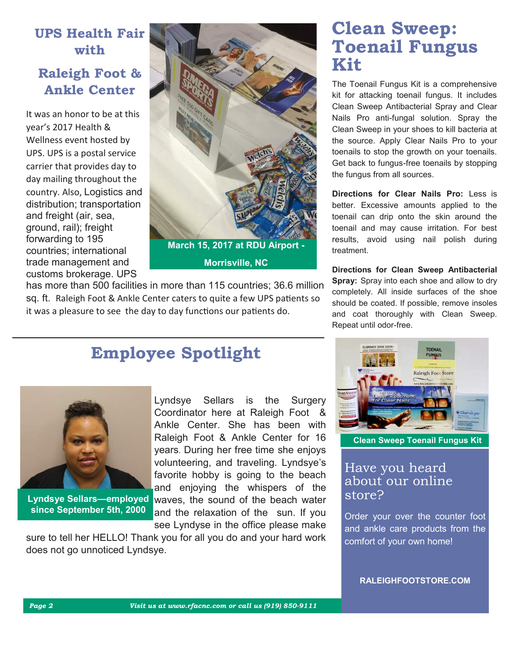# **UPS Health Fair with**

# **Raleigh Foot & Ankle Center**

It was an honor to be at this year's 2017 Health & Wellness event hosted by UPS. UPS is a postal service carrier that provides day to day mailing throughout the country. Also, Logistics and distribution; transportation and freight (air, sea, ground, rail); freight forwarding to 195 countries; international trade management and customs brokerage. UPS



has more than 500 facilities in more than 115 countries; 36.6 million sq. ft. Raleigh Foot & Ankle Center caters to quite a few UPS patients so it was a pleasure to see the day to day functions our patients do.

# **Employee Spotlight**



**since September 5th, 2000**

Lyndsye Sellars is the Surgery Coordinator here at Raleigh Foot & Ankle Center. She has been with Raleigh Foot & Ankle Center for 16 years. During her free time she enjoys volunteering, and traveling. Lyndsye's favorite hobby is going to the beach and enjoying the whispers of the Lyndsye Sellars—employed waves, the sound of the beach water and the relaxation of the sun. If you see Lyndyse in the office please make

sure to tell her HELLO! Thank you for all you do and your hard work does not go unnoticed Lyndsye.

# **Clean Sweep: Toenail Fungus Kit**

The Toenail Fungus Kit is a comprehensive kit for attacking toenail fungus. It includes Clean Sweep Antibacterial Spray and Clear Nails Pro anti-fungal solution. Spray the Clean Sweep in your shoes to kill bacteria at the source. Apply Clear Nails Pro to your toenails to stop the growth on your toenails. Get back to fungus-free toenails by stopping the fungus from all sources.

**Directions for Clear Nails Pro:** Less is better. Excessive amounts applied to the toenail can drip onto the skin around the toenail and may cause irritation. For best results, avoid using nail polish during treatment.

**Directions for Clean Sweep Antibacterial Spray:** Spray into each shoe and allow to dry completely. All inside surfaces of the shoe should be coated. If possible, remove insoles and coat thoroughly with Clean Sweep. Repeat until odor-free.



**Clean Sweep Toenail Fungus Kit**

## Have you heard about our online store?

Order your over the counter foot and ankle care products from the comfort of your own home!

**RALEIGHFOOTSTORE.COM**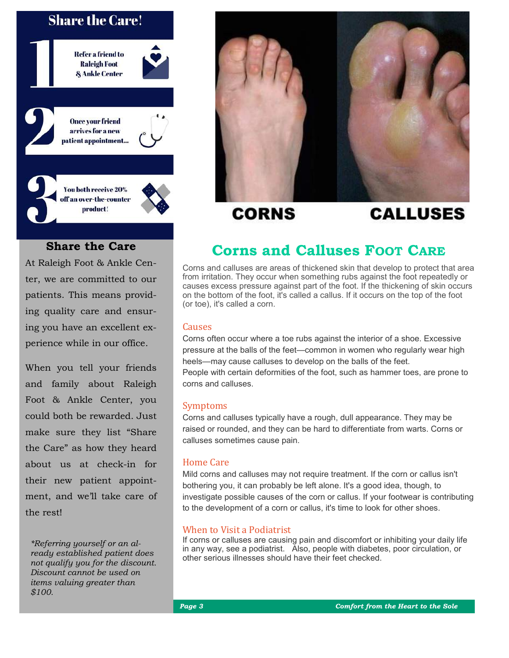## **Share the Care!**





## **Share the Care**

At Raleigh Foot & Ankle Center, we are committed to our patients. This means providing quality care and ensuring you have an excellent experience while in our office.

When you tell your friends and family about Raleigh Foot & Ankle Center, you could both be rewarded. Just make sure they list "Share the Care" as how they heard about us at check-in for their new patient appointment, and we'll take care of the rest!

*\*Referring yourself or an already established patient does not qualify you for the discount. Discount cannot be used on items valuing greater than \$100.*



**CORNS** 

# **CALLUSES**

# **Corns and Calluses FOOT CARE**

Corns and calluses are areas of thickened skin that develop to protect that area from irritation. They occur when something rubs against the foot repeatedly or causes excess pressure against part of the foot. If the thickening of skin occurs on the bottom of the foot, it's called a callus. If it occurs on the top of the foot (or toe), it's called a corn.

#### Causes

Corns often occur where a toe rubs against the interior of a shoe. Excessive pressure at the balls of the feet—common in women who regularly wear high heels—may cause calluses to develop on the balls of the feet. People with certain deformities of the foot, such as hammer toes, are prone to corns and calluses.

#### Symptoms

Corns and calluses typically have a rough, dull appearance. They may be raised or rounded, and they can be hard to differentiate from warts. Corns or calluses sometimes cause pain.

#### Home Care

Mild corns and calluses may not require treatment. If the corn or callus isn't bothering you, it can probably be left alone. It's a good idea, though, to investigate possible causes of the corn or callus. If your footwear is contributing to the development of a corn or callus, it's time to look for other shoes.

#### When to Visit a Podiatrist

If corns or calluses are causing pain and discomfort or inhibiting your daily life in any way, see a podiatrist. Also, people with diabetes, poor circulation, or other serious illnesses should have their feet checked.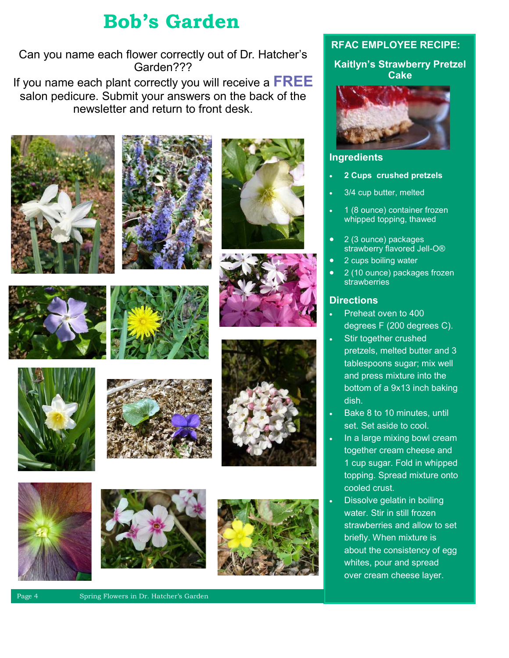# **Bob's Garden**

Can you name each flower correctly out of Dr. Hatcher's Garden???

If you name each plant correctly you will receive a **FREE**  salon pedicure. Submit your answers on the back of the newsletter and return to front desk.





















## **RFAC EMPLOYEE RECIPE:**

**Kaitlyn's Strawberry Pretzel Cake**



## **Ingredients**

- **2 Cups crushed pretzels**
- 3/4 cup butter, melted
- 1 (8 ounce) container frozen whipped topping, thawed
- 2 (3 ounce) packages strawberry flavored Jell-O®
- 2 cups boiling water
- 2 (10 ounce) packages frozen strawberries

## **Directions**

- Preheat oven to 400 degrees F (200 degrees C).
- Stir together crushed pretzels, melted butter and 3 tablespoons sugar; mix well and press mixture into the bottom of a 9x13 inch baking dish.
- Bake 8 to 10 minutes, until set. Set aside to cool.
- In a large mixing bowl cream together cream cheese and 1 cup sugar. Fold in whipped topping. Spread mixture onto cooled crust.
- Dissolve gelatin in boiling water. Stir in still frozen strawberries and allow to set briefly. When mixture is about the consistency of egg whites, pour and spread over cream cheese layer.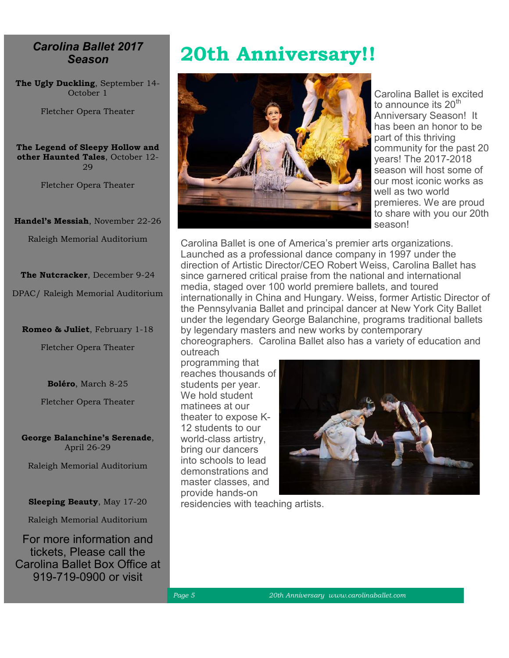## *Carolina Ballet 2017 Season*

**The Ugly Duckling**, September 14- October 1

Fletcher Opera Theater

**The Legend of Sleepy Hollow and other Haunted Tales**, October 12- 29

Fletcher Opera Theater

**Handel's Messiah**, November 22-26

Raleigh Memorial Auditorium

**The Nutcracker**, December 9-24

DPAC/ Raleigh Memorial Auditorium

**Romeo & Juliet**, February 1-18

Fletcher Opera Theater

**Boléro**, March 8-25

Fletcher Opera Theater

**George Balanchine's Serenade**, April 26-29

Raleigh Memorial Auditorium

**Sleeping Beauty**, May 17-20

Raleigh Memorial Auditorium

For more information and tickets, Please call the Carolina Ballet Box Office at 919-719-0900 or visit

# **20th Anniversary!!**



Carolina Ballet is excited to announce its 20<sup>th</sup> Anniversary Season! It has been an honor to be part of this thriving community for the past 20 years! The 2017-2018 season will host some of our most iconic works as well as two world premieres. We are proud to share with you our 20th season!

Carolina Ballet is one of America's premier arts organizations. Launched as a professional dance company in 1997 under the direction of Artistic Director/CEO Robert Weiss, Carolina Ballet has since garnered critical praise from the national and international media, staged over 100 world premiere ballets, and toured internationally in China and Hungary. Weiss, former Artistic Director of the Pennsylvania Ballet and principal dancer at New York City Ballet under the legendary George Balanchine, programs traditional ballets by legendary masters and new works by contemporary

choreographers. Carolina Ballet also has a variety of education and outreach

programming that reaches thousands of students per year. We hold student matinees at our theater to expose K-12 students to our world-class artistry, bring our dancers into schools to lead demonstrations and master classes, and provide hands-on



residencies with teaching artists.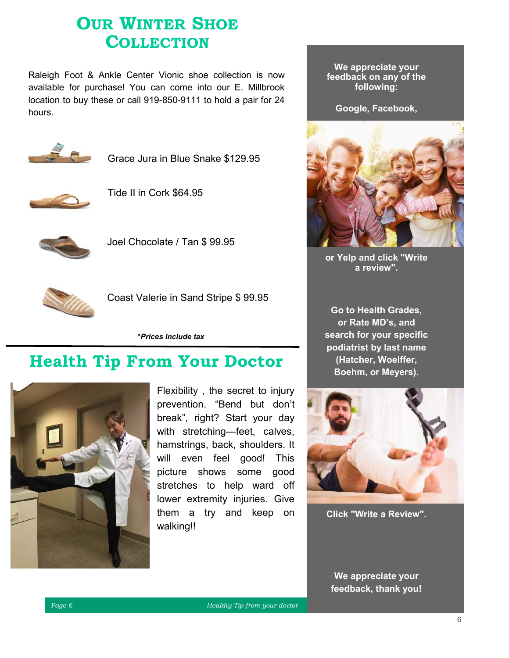# **OUR WINTER SHOE COLLECTION**

Raleigh Foot & Ankle Center Vionic shoe collection is now available for purchase! You can come into our E. Millbrook location to buy these or call 919-850-9111 to hold a pair for 24 hours.



Grace Jura in Blue Snake \$129.95



Tide II in Cork \$64.95



Joel Chocolate / Tan \$ 99.95



Coast Valerie in Sand Stripe \$ 99.95

**\****Prices include tax*

# **Health Tip From Your Doctor**



Flexibility , the secret to injury prevention. "Bend but don't break", right? Start your day with stretching—feet, calves, hamstrings, back, shoulders. It will even feel good! This picture shows some good stretches to help ward off lower extremity injuries. Give them a try and keep on walking!!

**We appreciate your feedback on any of the following:**

**Google, Facebook,** 



**or Yelp and click "Write a review".**

**Go to Health Grades, or Rate MD's, and search for your specific podiatrist by last name (Hatcher, Woelffer, Boehm, or Meyers).** 



**Click "Write a Review".**

**We appreciate your feedback, thank you!**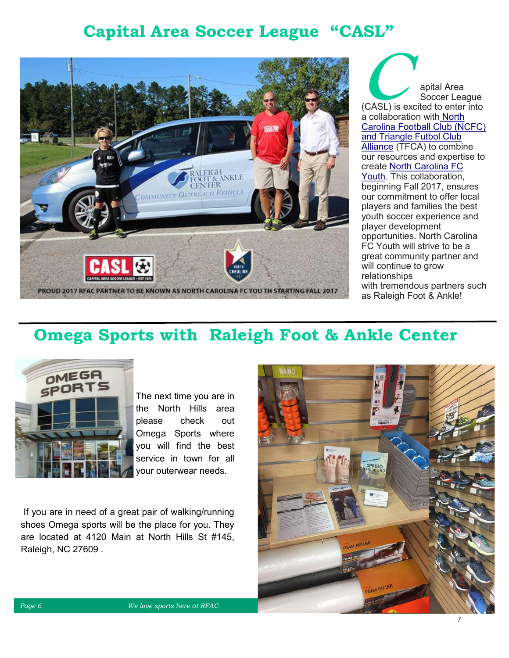# **Capital Area Soccer League "CASL"**



**C**apital Area<br>Soccer Lea Soccer League (CASL) is excited to enter into a collaboration with [North](http://www.northcarolinafc.com/)  [Carolina Football Club](http://www.northcarolinafc.com/) [\(NCFC\)](http://www.northcarolinafc.com/) and Triangle Futbol Club [Alliance](http://www.trianglefc.org/) (TFCA) to combine our resources and expertise to create [North Carolina FC](https://tshq.bluesombrero.com/Default.aspx?tabid=1593162&showpageeditor=1)  [Youth.](https://tshq.bluesombrero.com/Default.aspx?tabid=1593162&showpageeditor=1) This collaboration, beginning Fall 2017, ensures our commitment to offer local players and families the best youth soccer experience and player development opportunities. North Carolina FC Youth will strive to be a great community partner and will continue to grow relationships with tremendous partners such as Raleigh Foot & Ankle!

# **Omega Sports with Raleigh Foot & Ankle Center**



The next time you are in the North Hills area please check out Omega Sports where you will find the best service in town for all your outerwear needs.

If you are in need of a great pair of walking/running shoes Omega sports will be the place for you. They are located at 4120 Main at North Hills St #145, Raleigh, NC 27609 .